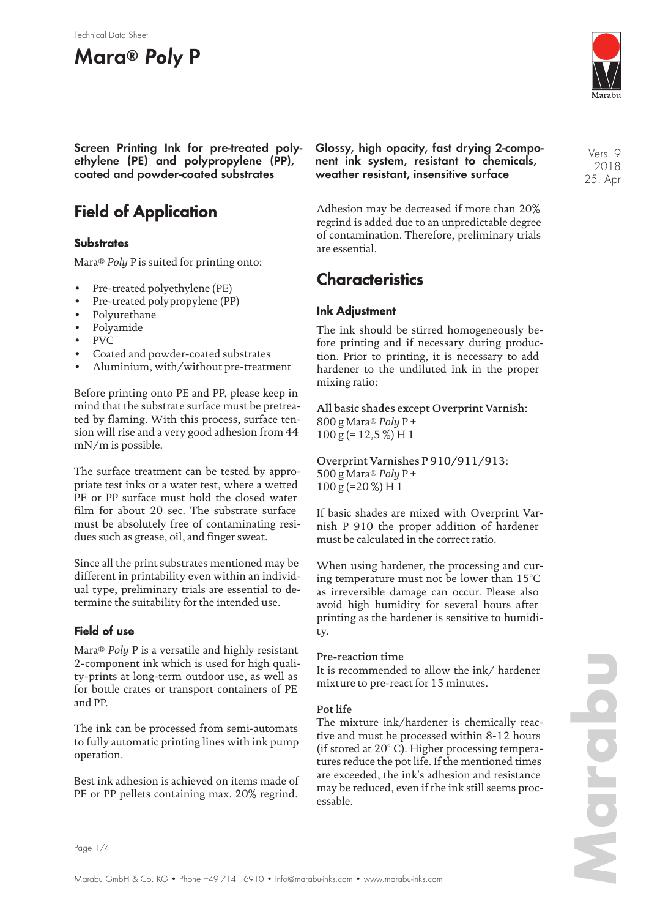#### Technical Data Sheet

# **Mara® Poly P**



**Screen Printing Ink for pre-treated polyethylene (PE) and polypropylene (PP), coated and powder-coated substrates**

# **Field of Application**

## **Substrates**

Mara® *Poly* P is suited for printing onto:

- Pre-treated polyethylene (PE)
- Pre-treated polypropylene (PP)
- Polyurethane
- Polyamide
- PVC
- Coated and powder-coated substrates
- Aluminium, with/without pre-treatment

Before printing onto PE and PP, please keep in mind that the substrate surface must be pretreated by flaming. With this process, surface tension will rise and a very good adhesion from 44 mN/m is possible.

The surface treatment can be tested by appropriate test inks or a water test, where a wetted PE or PP surface must hold the closed water film for about 20 sec. The substrate surface must be absolutely free of contaminating residues such as grease, oil, and finger sweat.

Since all the print substrates mentioned may be different in printability even within an individual type, preliminary trials are essential to determine the suitability for the intended use.

## **Field of use**

Mara® *Poly* P is a versatile and highly resistant 2-component ink which is used for high quality-prints at long-term outdoor use, as well as for bottle crates or transport containers of PE and PP.

The ink can be processed from semi-automats to fully automatic printing lines with ink pump operation.

Best ink adhesion is achieved on items made of PE or PP pellets containing max. 20% regrind.

**Glossy, high opacity, fast drying 2-component ink system, resistant to chemicals, weather resistant, insensitive surface**

Adhesion may be decreased if more than 20% regrind is added due to an unpredictable degree of contamination. Therefore, preliminary trials are essential.

# **Characteristics**

## **Ink Adjustment**

The ink should be stirred homogeneously before printing and if necessary during production. Prior to printing, it is necessary to add hardener to the undiluted ink in the proper mixing ratio:

All basic shades except Overprint Varnish: 800 g Mara® *Poly* P + 100 g (= 12,5 %) H 1

Overprint Varnishes P 910/911/913: 500 g Mara® *Poly* P + 100 g (=20 %) H 1

If basic shades are mixed with Overprint Varnish P 910 the proper addition of hardener must be calculated in the correct ratio.

When using hardener, the processing and curing temperature must not be lower than 15°C as irreversible damage can occur. Please also avoid high humidity for several hours after printing as the hardener is sensitive to humidity.

#### Pre-reaction time

It is recommended to allow the ink/ hardener mixture to pre-react for 15 minutes.

#### Pot life

The mixture ink/hardener is chemically reactive and must be processed within 8-12 hours (if stored at 20° C). Higher processing temperatures reduce the pot life. If the mentioned times are exceeded, the ink's adhesion and resistance may be reduced, even if the ink still seems processable.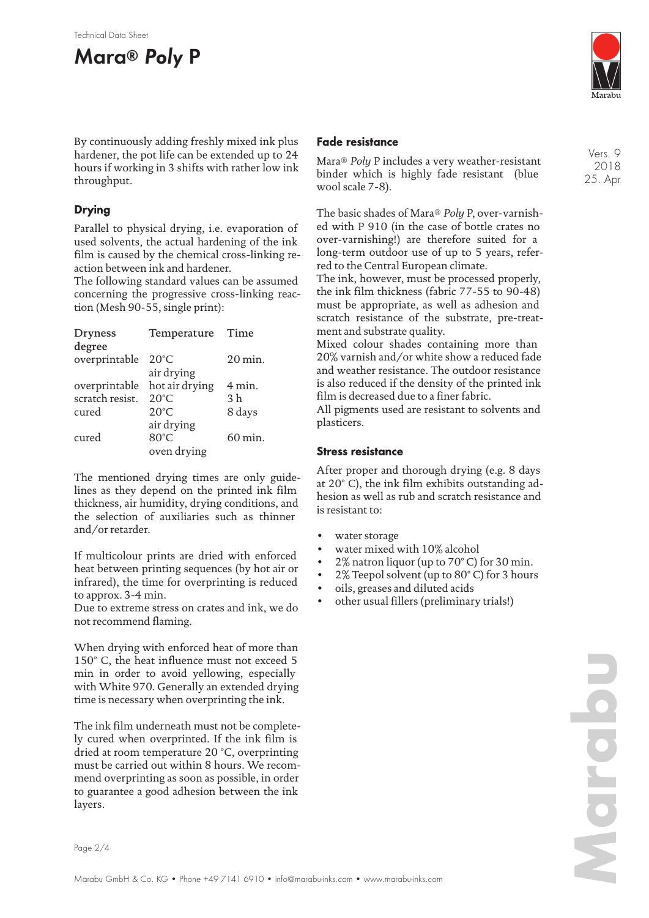



Vers. 9 2018 25. Apr

By continuously adding freshly mixed ink plus hardener, the pot life can be extended up to 24 hours if working in 3 shifts with rather low ink throughput.

## **Drying**

Parallel to physical drying, i.e. evaporation of used solvents, the actual hardening of the ink film is caused by the chemical cross-linking reaction between ink and hardener.

The following standard values can be assumed concerning the progressive cross-linking reaction (Mesh 90-55, single print):

| <b>Dryness</b>               | Temperature    | Time                  |
|------------------------------|----------------|-----------------------|
| degree                       |                |                       |
| overprintable 20°C           |                | $20 \,\mathrm{min}$ . |
|                              | air drying     |                       |
| overprintable hot air drying |                | $4$ min.              |
| scratch resist.              | $20^{\circ}$ C | 3 <sub>h</sub>        |
| cured                        | $20^{\circ}$ C | 8 days                |
|                              | air drying     |                       |
| cured                        | 80°C           | $60 \,\mathrm{min}$ . |
|                              | oven drying    |                       |

The mentioned drying times are only guidelines as they depend on the printed ink film thickness, air humidity, drying conditions, and the selection of auxiliaries such as thinner and/or retarder.

If multicolour prints are dried with enforced heat between printing sequences (by hot air or infrared), the time for overprinting is reduced to approx. 3-4 min.

Due to extreme stress on crates and ink, we do not recommend flaming.

When drying with enforced heat of more than 150° C, the heat influence must not exceed 5 min in order to avoid yellowing, especially with White 970. Generally an extended drying time is necessary when overprinting the ink.

The ink film underneath must not be completely cured when overprinted. If the ink film is dried at room temperature 20 °C, overprinting must be carried out within 8 hours. We recommend overprinting as soon as possible, in order to guarantee a good adhesion between the ink layers.

### **Fade resistance**

Mara® *Poly* P includes a very weather-resistant binder which is highly fade resistant (blue wool scale 7-8).

The basic shades of Mara® *Poly* P, over-varnished with P 910 (in the case of bottle crates no over-varnishing!) are therefore suited for a long-term outdoor use of up to 5 years, referred to the Central European climate.

The ink, however, must be processed properly, the ink film thickness (fabric 77-55 to 90-48) must be appropriate, as well as adhesion and scratch resistance of the substrate, pre-treatment and substrate quality.

Mixed colour shades containing more than 20% varnish and/or white show a reduced fade and weather resistance. The outdoor resistance is also reduced if the density of the printed ink film is decreased due to a finer fabric.

All pigments used are resistant to solvents and plasticers.

## **Stress resistance**

After proper and thorough drying (e.g. 8 days at 20° C), the ink film exhibits outstanding adhesion as well as rub and scratch resistance and is resistant to:

- water storage
- water mixed with 10% alcohol
- $2\%$  natron liquor (up to 70 $\degree$  C) for 30 min.
- 2% Teepol solvent (up to 80° C) for 3 hours
- oils, greases and diluted acids
- other usual fillers (preliminary trials!)

Page 2/4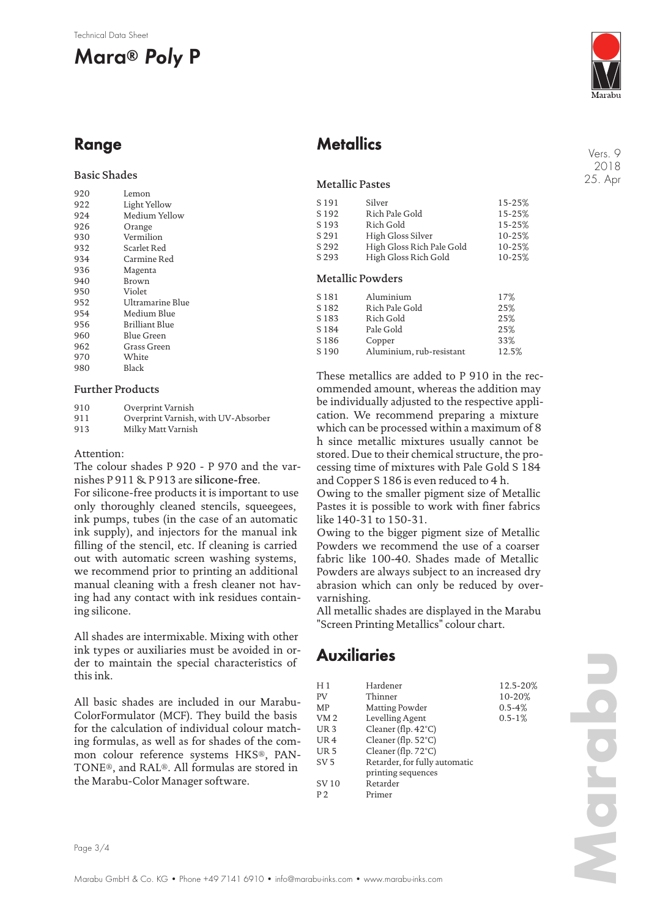#### Technical Data Sheet

# **Mara® Poly P**



Vers. 9 2018 25. Apr

# **Range**

### Basic Shades

| 920 | Lemon            |
|-----|------------------|
| 922 | Light Yellow     |
| 924 | Medium Yellow    |
| 926 | Orange           |
| 930 | Vermilion        |
| 932 | Scarlet Red      |
| 934 | Carmine Red      |
| 936 | Magenta          |
| 940 | Brown            |
| 950 | Violet           |
| 952 | Ultramarine Blue |
| 954 | Medium Blue      |
| 956 | Brilliant Blue   |
| 960 | Blue Green       |
| 962 | Grass Green      |
| 970 | White            |
| 980 | Black            |
|     |                  |

### Further Products

| 910 | Overprint Varnish                   |
|-----|-------------------------------------|
| 911 | Overprint Varnish, with UV-Absorber |

913 Milky Matt Varnish

#### Attention:

The colour shades P 920 - P 970 and the varnishes P 911 & P 913 are silicone-free.

For silicone-free products it is important to use only thoroughly cleaned stencils, squeegees, ink pumps, tubes (in the case of an automatic ink supply), and injectors for the manual ink filling of the stencil, etc. If cleaning is carried out with automatic screen washing systems, we recommend prior to printing an additional manual cleaning with a fresh cleaner not having had any contact with ink residues containing silicone.

All shades are intermixable. Mixing with other ink types or auxiliaries must be avoided in order to maintain the special characteristics of this ink.

All basic shades are included in our Marabu-ColorFormulator (MCF). They build the basis for the calculation of individual colour matching formulas, as well as for shades of the common colour reference systems HKS®, PAN-TONE®, and RAL®. All formulas are stored in the Marabu-Color Manager software.

# **Metallics**

### Metallic Pastes

| S 191            | Silver                    | 15-25% |
|------------------|---------------------------|--------|
| S <sub>192</sub> | Rich Pale Gold            | 15-25% |
| S <sub>193</sub> | Rich Gold                 | 15-25% |
| S 291            | High Gloss Silver         | 10-25% |
| S 292            | High Gloss Rich Pale Gold | 10-25% |
| S 293            | High Gloss Rich Gold      | 10-25% |
|                  |                           |        |

### Metallic Powders

| S 181            | Aluminium                | 17%   |
|------------------|--------------------------|-------|
| S <sub>182</sub> | Rich Pale Gold           | 25%   |
| S <sub>183</sub> | Rich Gold                | 25%   |
| S <sub>184</sub> | Pale Gold                | 25%   |
| S <sub>186</sub> | Copper                   | 33%   |
| S <sub>190</sub> | Aluminium, rub-resistant | 12.5% |

These metallics are added to P 910 in the recommended amount, whereas the addition may be individually adjusted to the respective application. We recommend preparing a mixture which can be processed within a maximum of 8 h since metallic mixtures usually cannot be stored. Due to their chemical structure, the processing time of mixtures with Pale Gold S 184 and Copper S 186 is even reduced to 4 h.

Owing to the smaller pigment size of Metallic Pastes it is possible to work with finer fabrics like 140-31 to 150-31.

Owing to the bigger pigment size of Metallic Powders we recommend the use of a coarser fabric like 100-40. Shades made of Metallic Powders are always subject to an increased dry abrasion which can only be reduced by overvarnishing.

All metallic shades are displayed in the Marabu "Screen Printing Metallics" colour chart.

# **Auxiliaries**

| H1              | Hardener                      | 12.5-20%    |
|-----------------|-------------------------------|-------------|
| PV              | Thinner                       | 10-20%      |
| MP              | Matting Powder                | $0.5 - 4%$  |
| VM <sub>2</sub> | Levelling Agent               | $0.5 - 1\%$ |
| UR <sub>3</sub> | Cleaner (flp. $42^{\circ}$ C) |             |
| UR <sub>4</sub> | Cleaner (flp. 52°C)           |             |
| UR <sub>5</sub> | Cleaner (flp. 72°C)           |             |
| SV <sub>5</sub> | Retarder, for fully automatic |             |
|                 | printing sequences            |             |
| SV 10           | Retarder                      |             |
| P <sub>2</sub>  | Primer                        |             |

**Marabu**